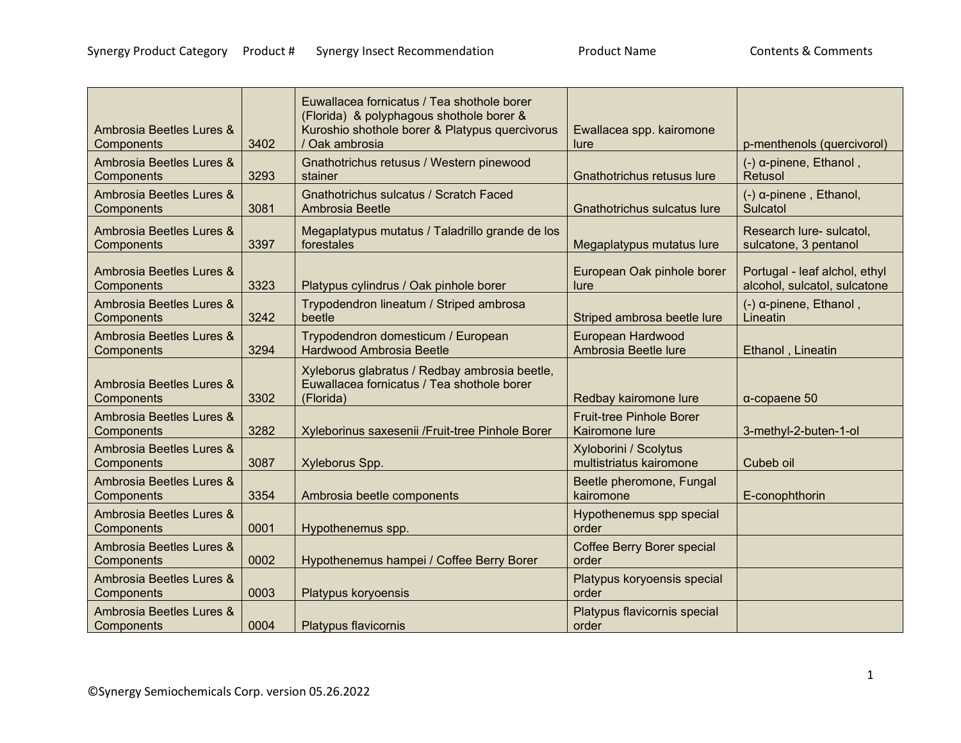| Ambrosia Beetles Lures &<br>Components | 3402 | Euwallacea fornicatus / Tea shothole borer<br>(Florida) & polyphagous shothole borer &<br>Kuroshio shothole borer & Platypus quercivorus<br>/ Oak ambrosia | Ewallacea spp. kairomone<br>lure                  | p-menthenols (quercivorol)                                    |
|----------------------------------------|------|------------------------------------------------------------------------------------------------------------------------------------------------------------|---------------------------------------------------|---------------------------------------------------------------|
| Ambrosia Beetles Lures &<br>Components | 3293 | Gnathotrichus retusus / Western pinewood<br>stainer                                                                                                        | Gnathotrichus retusus lure                        | $(-)$ α-pinene, Ethanol,<br>Retusol                           |
| Ambrosia Beetles Lures &<br>Components | 3081 | Gnathotrichus sulcatus / Scratch Faced<br>Ambrosia Beetle                                                                                                  | Gnathotrichus sulcatus lure                       | $(-)$ $\alpha$ -pinene, Ethanol,<br>Sulcatol                  |
| Ambrosia Beetles Lures &<br>Components | 3397 | Megaplatypus mutatus / Taladrillo grande de los<br>forestales                                                                                              | Megaplatypus mutatus lure                         | Research lure- sulcatol,<br>sulcatone, 3 pentanol             |
| Ambrosia Beetles Lures &<br>Components | 3323 | Platypus cylindrus / Oak pinhole borer                                                                                                                     | European Oak pinhole borer<br>lure                | Portugal - leaf alchol, ethyl<br>alcohol, sulcatol, sulcatone |
| Ambrosia Beetles Lures &<br>Components | 3242 | Trypodendron lineatum / Striped ambrosa<br>beetle                                                                                                          | Striped ambrosa beetle lure                       | $(-)$ $\alpha$ -pinene, Ethanol,<br>Lineatin                  |
| Ambrosia Beetles Lures &<br>Components | 3294 | Trypodendron domesticum / European<br><b>Hardwood Ambrosia Beetle</b>                                                                                      | European Hardwood<br>Ambrosia Beetle lure         | Ethanol, Lineatin                                             |
| Ambrosia Beetles Lures &<br>Components | 3302 | Xyleborus glabratus / Redbay ambrosia beetle,<br>Euwallacea fornicatus / Tea shothole borer<br>(Florida)                                                   | Redbay kairomone lure                             | $\alpha$ -copaene 50                                          |
| Ambrosia Beetles Lures &<br>Components | 3282 | Xyleborinus saxesenii /Fruit-tree Pinhole Borer                                                                                                            | <b>Fruit-tree Pinhole Borer</b><br>Kairomone lure | 3-methyl-2-buten-1-ol                                         |
| Ambrosia Beetles Lures &<br>Components | 3087 | Xyleborus Spp.                                                                                                                                             | Xyloborini / Scolytus<br>multistriatus kairomone  | Cubeb oil                                                     |
| Ambrosia Beetles Lures &<br>Components | 3354 | Ambrosia beetle components                                                                                                                                 | Beetle pheromone, Fungal<br>kairomone             | E-conophthorin                                                |
| Ambrosia Beetles Lures &<br>Components | 0001 | Hypothenemus spp.                                                                                                                                          | Hypothenemus spp special<br>order                 |                                                               |
| Ambrosia Beetles Lures &<br>Components | 0002 | Hypothenemus hampei / Coffee Berry Borer                                                                                                                   | Coffee Berry Borer special<br>order               |                                                               |
| Ambrosia Beetles Lures &<br>Components | 0003 | Platypus koryoensis                                                                                                                                        | Platypus koryoensis special<br>order              |                                                               |
| Ambrosia Beetles Lures &<br>Components | 0004 | <b>Platypus flavicornis</b>                                                                                                                                | Platypus flavicornis special<br>order             |                                                               |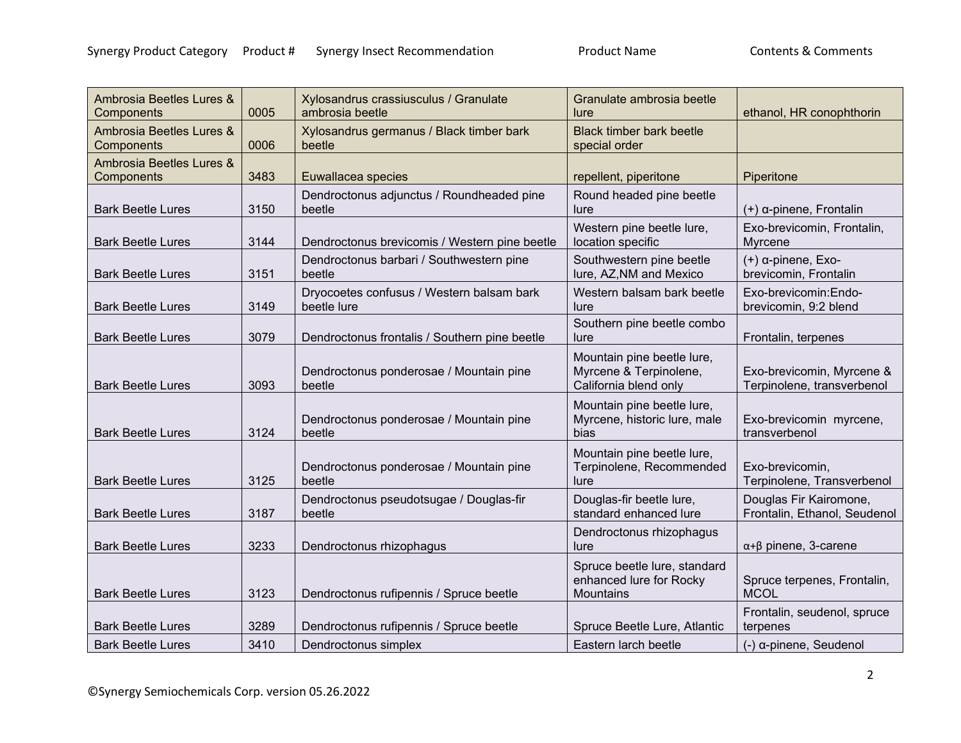| Ambrosia Beetles Lures &<br>Components | 0005 | Xylosandrus crassiusculus / Granulate<br>ambrosia beetle | Granulate ambrosia beetle<br>lure                                             | ethanol, HR conophthorin                                |
|----------------------------------------|------|----------------------------------------------------------|-------------------------------------------------------------------------------|---------------------------------------------------------|
| Ambrosia Beetles Lures &<br>Components | 0006 | Xylosandrus germanus / Black timber bark<br>beetle       | <b>Black timber bark beetle</b><br>special order                              |                                                         |
| Ambrosia Beetles Lures &<br>Components | 3483 | Euwallacea species                                       | repellent, piperitone                                                         | Piperitone                                              |
| <b>Bark Beetle Lures</b>               | 3150 | Dendroctonus adjunctus / Roundheaded pine<br>beetle      | Round headed pine beetle<br>lure                                              | (+) α-pinene, Frontalin                                 |
| <b>Bark Beetle Lures</b>               | 3144 | Dendroctonus brevicomis / Western pine beetle            | Western pine beetle lure,<br>location specific                                | Exo-brevicomin, Frontalin,<br>Myrcene                   |
| <b>Bark Beetle Lures</b>               | 3151 | Dendroctonus barbari / Southwestern pine<br>beetle       | Southwestern pine beetle<br>lure, AZ, NM and Mexico                           | $(+)$ $\alpha$ -pinene, Exo-<br>brevicomin, Frontalin   |
| <b>Bark Beetle Lures</b>               | 3149 | Dryocoetes confusus / Western balsam bark<br>beetle lure | Western balsam bark beetle<br>lure                                            | Exo-brevicomin: Endo-<br>brevicomin, 9:2 blend          |
| <b>Bark Beetle Lures</b>               | 3079 | Dendroctonus frontalis / Southern pine beetle            | Southern pine beetle combo<br>lure                                            | Frontalin, terpenes                                     |
| <b>Bark Beetle Lures</b>               | 3093 | Dendroctonus ponderosae / Mountain pine<br>beetle        | Mountain pine beetle lure,<br>Myrcene & Terpinolene,<br>California blend only | Exo-brevicomin, Myrcene &<br>Terpinolene, transverbenol |
| <b>Bark Beetle Lures</b>               | 3124 | Dendroctonus ponderosae / Mountain pine<br>beetle        | Mountain pine beetle lure,<br>Myrcene, historic lure, male<br>bias            | Exo-brevicomin myrcene,<br>transverbenol                |
| <b>Bark Beetle Lures</b>               | 3125 | Dendroctonus ponderosae / Mountain pine<br>beetle        | Mountain pine beetle lure,<br>Terpinolene, Recommended<br>lure                | Exo-brevicomin,<br>Terpinolene, Transverbenol           |
| <b>Bark Beetle Lures</b>               | 3187 | Dendroctonus pseudotsugae / Douglas-fir<br>beetle        | Douglas-fir beetle lure,<br>standard enhanced lure                            | Douglas Fir Kairomone,<br>Frontalin, Ethanol, Seudenol  |
| <b>Bark Beetle Lures</b>               | 3233 | Dendroctonus rhizophagus                                 | Dendroctonus rhizophagus<br>lure                                              | $\alpha + \beta$ pinene, 3-carene                       |
| <b>Bark Beetle Lures</b>               | 3123 | Dendroctonus rufipennis / Spruce beetle                  | Spruce beetle lure, standard<br>enhanced lure for Rocky<br><b>Mountains</b>   | Spruce terpenes, Frontalin,<br><b>MCOL</b>              |
| <b>Bark Beetle Lures</b>               | 3289 | Dendroctonus rufipennis / Spruce beetle                  | Spruce Beetle Lure, Atlantic                                                  | Frontalin, seudenol, spruce<br>terpenes                 |
| <b>Bark Beetle Lures</b>               | 3410 | Dendroctonus simplex                                     | Eastern larch beetle                                                          | (-) α-pinene, Seudenol                                  |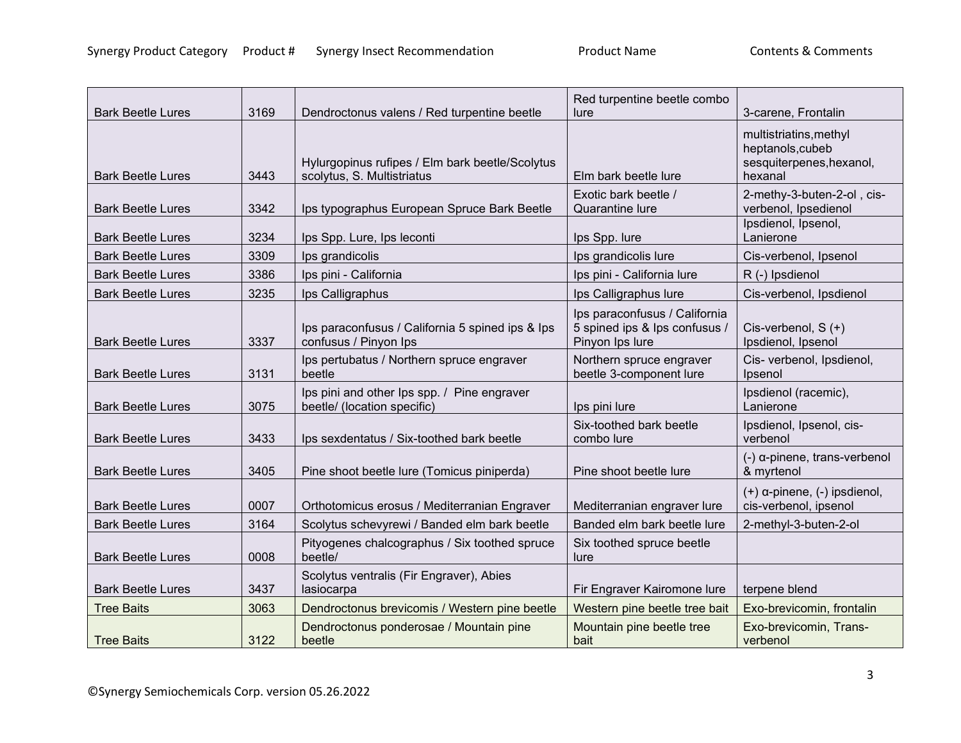| <b>Bark Beetle Lures</b> | 3169 | Dendroctonus valens / Red turpentine beetle                                   | Red turpentine beetle combo<br>lure                                               | 3-carene, Frontalin                                                               |
|--------------------------|------|-------------------------------------------------------------------------------|-----------------------------------------------------------------------------------|-----------------------------------------------------------------------------------|
| <b>Bark Beetle Lures</b> | 3443 | Hylurgopinus rufipes / Elm bark beetle/Scolytus<br>scolytus, S. Multistriatus | Elm bark beetle lure                                                              | multistriatins, methyl<br>heptanols, cubeb<br>sesquiterpenes, hexanol,<br>hexanal |
| <b>Bark Beetle Lures</b> | 3342 | Ips typographus European Spruce Bark Beetle                                   | Exotic bark beetle /<br>Quarantine lure                                           | 2-methy-3-buten-2-ol, cis-<br>verbenol, Ipsedienol                                |
| <b>Bark Beetle Lures</b> | 3234 | Ips Spp. Lure, Ips leconti                                                    | Ips Spp. lure                                                                     | Ipsdienol, Ipsenol,<br>Lanierone                                                  |
| <b>Bark Beetle Lures</b> | 3309 | Ips grandicolis                                                               | Ips grandicolis lure                                                              | Cis-verbenol, Ipsenol                                                             |
| <b>Bark Beetle Lures</b> | 3386 | Ips pini - California                                                         | Ips pini - California lure                                                        | R (-) Ipsdienol                                                                   |
| <b>Bark Beetle Lures</b> | 3235 | Ips Calligraphus                                                              | Ips Calligraphus lure                                                             | Cis-verbenol, Ipsdienol                                                           |
| <b>Bark Beetle Lures</b> | 3337 | Ips paraconfusus / California 5 spined ips & Ips<br>confusus / Pinyon Ips     | Ips paraconfusus / California<br>5 spined ips & lps confusus /<br>Pinyon Ips lure | Cis-verbenol, $S (+)$<br>Ipsdienol, Ipsenol                                       |
| <b>Bark Beetle Lures</b> | 3131 | Ips pertubatus / Northern spruce engraver<br>beetle                           | Northern spruce engraver<br>beetle 3-component lure                               | Cis- verbenol, Ipsdienol,<br>Ipsenol                                              |
| <b>Bark Beetle Lures</b> | 3075 | Ips pini and other Ips spp. / Pine engraver<br>beetle/ (location specific)    | Ips pini lure                                                                     | Ipsdienol (racemic),<br>Lanierone                                                 |
| <b>Bark Beetle Lures</b> | 3433 | Ips sexdentatus / Six-toothed bark beetle                                     | Six-toothed bark beetle<br>combo lure                                             | Ipsdienol, Ipsenol, cis-<br>verbenol                                              |
| <b>Bark Beetle Lures</b> | 3405 | Pine shoot beetle lure (Tomicus piniperda)                                    | Pine shoot beetle lure                                                            | $(-)$ $\alpha$ -pinene, trans-verbenol<br>& myrtenol                              |
| <b>Bark Beetle Lures</b> | 0007 | Orthotomicus erosus / Mediterranian Engraver                                  | Mediterranian engraver lure                                                       | $(+)$ $\alpha$ -pinene, $(-)$ ipsdienol,<br>cis-verbenol, ipsenol                 |
| <b>Bark Beetle Lures</b> | 3164 | Scolytus schevyrewi / Banded elm bark beetle                                  | Banded elm bark beetle lure                                                       | 2-methyl-3-buten-2-ol                                                             |
| <b>Bark Beetle Lures</b> | 0008 | Pityogenes chalcographus / Six toothed spruce<br>beetle/                      | Six toothed spruce beetle<br>lure                                                 |                                                                                   |
| <b>Bark Beetle Lures</b> | 3437 | Scolytus ventralis (Fir Engraver), Abies<br>lasiocarpa                        | Fir Engraver Kairomone lure                                                       | terpene blend                                                                     |
| <b>Tree Baits</b>        | 3063 | Dendroctonus brevicomis / Western pine beetle                                 | Western pine beetle tree bait                                                     | Exo-brevicomin, frontalin                                                         |
| <b>Tree Baits</b>        | 3122 | Dendroctonus ponderosae / Mountain pine<br>beetle                             | Mountain pine beetle tree<br>bait                                                 | Exo-brevicomin, Trans-<br>verbenol                                                |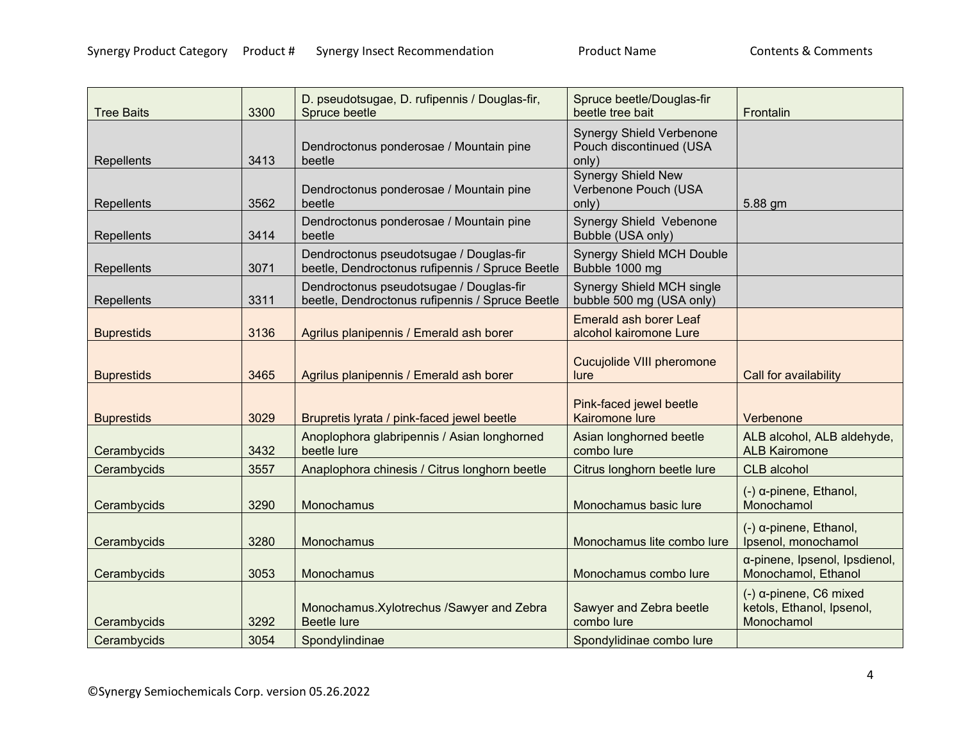|                   |      | D. pseudotsugae, D. rufipennis / Douglas-fir,                                              | Spruce beetle/Douglas-fir                                           |                                                                     |
|-------------------|------|--------------------------------------------------------------------------------------------|---------------------------------------------------------------------|---------------------------------------------------------------------|
| <b>Tree Baits</b> | 3300 | Spruce beetle                                                                              | beetle tree bait                                                    | Frontalin                                                           |
| Repellents        | 3413 | Dendroctonus ponderosae / Mountain pine<br>beetle                                          | <b>Synergy Shield Verbenone</b><br>Pouch discontinued (USA<br>only) |                                                                     |
| Repellents        | 3562 | Dendroctonus ponderosae / Mountain pine<br>beetle                                          | <b>Synergy Shield New</b><br>Verbenone Pouch (USA<br>only)          | 5.88 gm                                                             |
| Repellents        | 3414 | Dendroctonus ponderosae / Mountain pine<br>beetle                                          | Synergy Shield Vebenone<br>Bubble (USA only)                        |                                                                     |
| Repellents        | 3071 | Dendroctonus pseudotsugae / Douglas-fir<br>beetle, Dendroctonus rufipennis / Spruce Beetle | <b>Synergy Shield MCH Double</b><br>Bubble 1000 mg                  |                                                                     |
| Repellents        | 3311 | Dendroctonus pseudotsugae / Douglas-fir<br>beetle, Dendroctonus rufipennis / Spruce Beetle | Synergy Shield MCH single<br>bubble 500 mg (USA only)               |                                                                     |
| <b>Buprestids</b> | 3136 | Agrilus planipennis / Emerald ash borer                                                    | <b>Emerald ash borer Leaf</b><br>alcohol kairomone Lure             |                                                                     |
| <b>Buprestids</b> | 3465 | Agrilus planipennis / Emerald ash borer                                                    | Cucujolide VIII pheromone<br>lure                                   | Call for availability                                               |
| <b>Buprestids</b> | 3029 | Brupretis lyrata / pink-faced jewel beetle                                                 | Pink-faced jewel beetle<br><b>Kairomone lure</b>                    | Verbenone                                                           |
| Cerambycids       | 3432 | Anoplophora glabripennis / Asian longhorned<br>beetle lure                                 | Asian longhorned beetle<br>combo lure                               | ALB alcohol, ALB aldehyde,<br><b>ALB Kairomone</b>                  |
| Cerambycids       | 3557 | Anaplophora chinesis / Citrus longhorn beetle                                              | Citrus longhorn beetle lure                                         | CLB alcohol                                                         |
| Cerambycids       | 3290 | Monochamus                                                                                 | Monochamus basic lure                                               | $(-)$ $\alpha$ -pinene, Ethanol,<br>Monochamol                      |
| Cerambycids       | 3280 | Monochamus                                                                                 | Monochamus lite combo lure                                          | $(-)$ a-pinene, Ethanol,<br>Ipsenol, monochamol                     |
| Cerambycids       | 3053 | Monochamus                                                                                 | Monochamus combo lure                                               | α-pinene, Ipsenol, Ipsdienol,<br>Monochamol, Ethanol                |
| Cerambycids       | 3292 | Monochamus. Xylotrechus / Sawyer and Zebra<br><b>Beetle lure</b>                           | Sawyer and Zebra beetle<br>combo lure                               | $(-)$ α-pinene, C6 mixed<br>ketols, Ethanol, Ipsenol,<br>Monochamol |
| Cerambycids       | 3054 | Spondylindinae                                                                             | Spondylidinae combo lure                                            |                                                                     |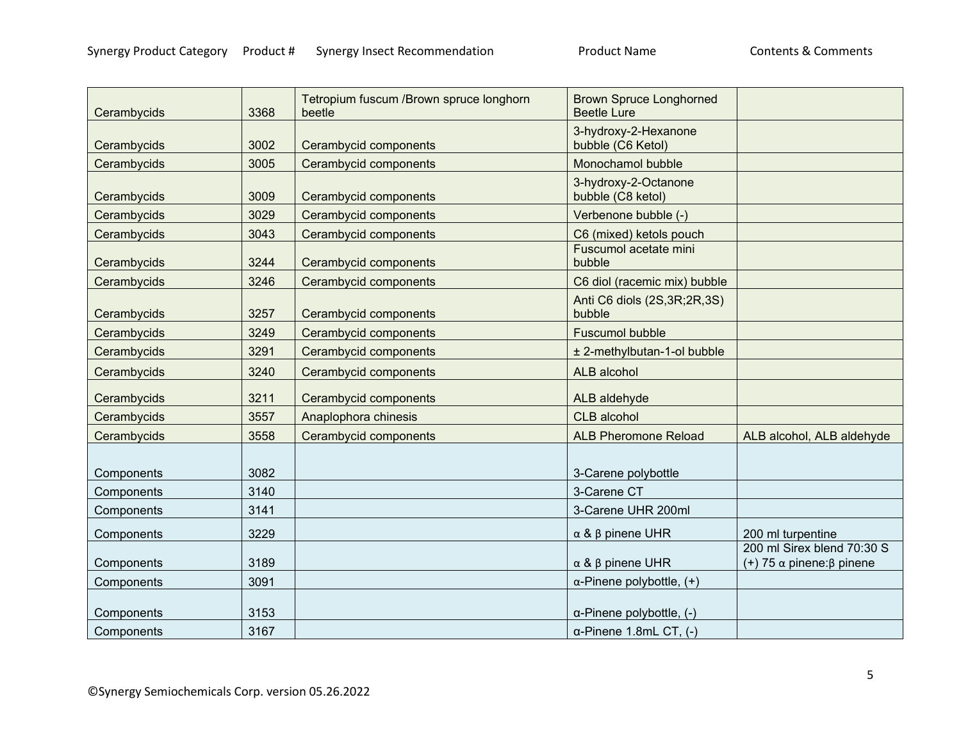| Cerambycids | 3368 | Tetropium fuscum /Brown spruce longhorn<br>beetle | <b>Brown Spruce Longhorned</b><br><b>Beetle Lure</b> |                                                                |
|-------------|------|---------------------------------------------------|------------------------------------------------------|----------------------------------------------------------------|
| Cerambycids | 3002 | Cerambycid components                             | 3-hydroxy-2-Hexanone<br>bubble (C6 Ketol)            |                                                                |
| Cerambycids | 3005 | Cerambycid components                             | Monochamol bubble                                    |                                                                |
| Cerambycids | 3009 | Cerambycid components                             | 3-hydroxy-2-Octanone<br>bubble (C8 ketol)            |                                                                |
| Cerambycids | 3029 | Cerambycid components                             | Verbenone bubble (-)                                 |                                                                |
| Cerambycids | 3043 | Cerambycid components                             | C6 (mixed) ketols pouch                              |                                                                |
| Cerambycids | 3244 | Cerambycid components                             | Fuscumol acetate mini<br>bubble                      |                                                                |
| Cerambycids | 3246 | Cerambycid components                             | C6 diol (racemic mix) bubble                         |                                                                |
| Cerambycids | 3257 | Cerambycid components                             | Anti C6 diols (2S, 3R; 2R, 3S)<br>bubble             |                                                                |
| Cerambycids | 3249 | Cerambycid components                             | <b>Fuscumol bubble</b>                               |                                                                |
| Cerambycids | 3291 | Cerambycid components                             | ± 2-methylbutan-1-ol bubble                          |                                                                |
| Cerambycids | 3240 | Cerambycid components                             | ALB alcohol                                          |                                                                |
| Cerambycids | 3211 | Cerambycid components                             | ALB aldehyde                                         |                                                                |
| Cerambycids | 3557 | Anaplophora chinesis                              | <b>CLB</b> alcohol                                   |                                                                |
| Cerambycids | 3558 | Cerambycid components                             | <b>ALB Pheromone Reload</b>                          | ALB alcohol, ALB aldehyde                                      |
|             |      |                                                   |                                                      |                                                                |
| Components  | 3082 |                                                   | 3-Carene polybottle                                  |                                                                |
| Components  | 3140 |                                                   | 3-Carene CT                                          |                                                                |
| Components  | 3141 |                                                   | 3-Carene UHR 200ml                                   |                                                                |
| Components  | 3229 |                                                   | $\alpha$ & $\beta$ pinene UHR                        | 200 ml turpentine                                              |
| Components  | 3189 |                                                   | $\alpha$ & $\beta$ pinene UHR                        | 200 ml Sirex blend 70:30 S<br>(+) 75 $\alpha$ pinene: β pinene |
| Components  | 3091 |                                                   | $\alpha$ -Pinene polybottle, $(+)$                   |                                                                |
| Components  | 3153 |                                                   | $\alpha$ -Pinene polybottle, (-)                     |                                                                |
| Components  | 3167 |                                                   | $\alpha$ -Pinene 1.8mL CT, (-)                       |                                                                |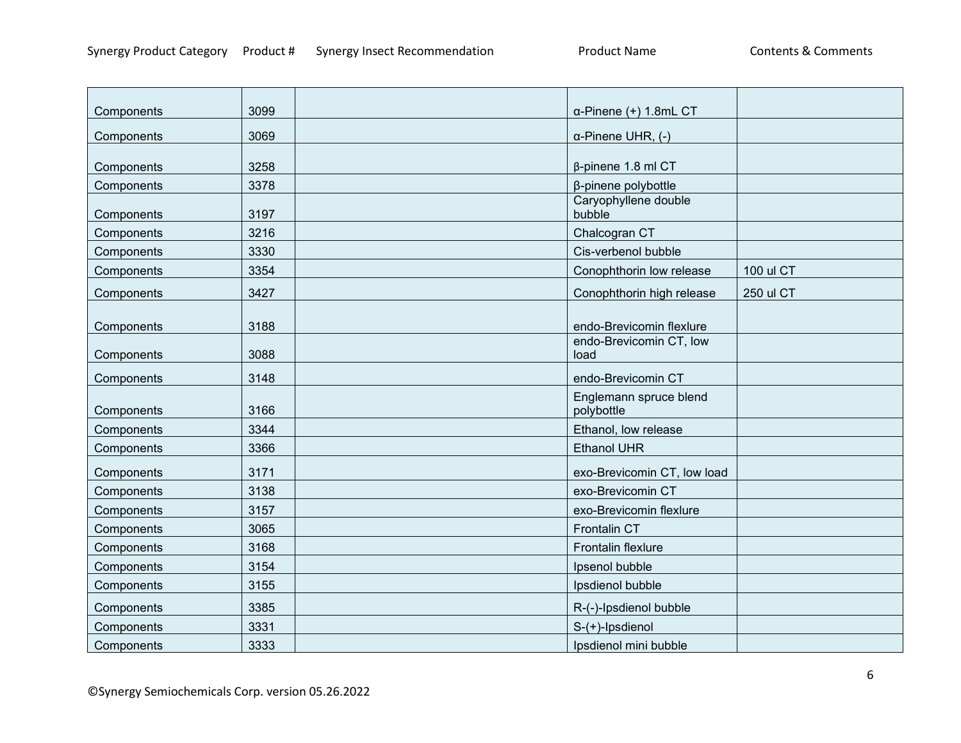| Components | 3099 | $\alpha$ -Pinene (+) 1.8mL CT        |           |
|------------|------|--------------------------------------|-----------|
| Components | 3069 | $\alpha$ -Pinene UHR, (-)            |           |
|            |      |                                      |           |
| Components | 3258 | $\beta$ -pinene 1.8 ml CT            |           |
| Components | 3378 | β-pinene polybottle                  |           |
| Components | 3197 | Caryophyllene double<br>bubble       |           |
| Components | 3216 | Chalcogran CT                        |           |
| Components | 3330 | Cis-verbenol bubble                  |           |
| Components | 3354 | Conophthorin low release             | 100 ul CT |
| Components | 3427 | Conophthorin high release            | 250 ul CT |
| Components | 3188 | endo-Brevicomin flexlure             |           |
| Components | 3088 | endo-Brevicomin CT, low<br>load      |           |
| Components | 3148 | endo-Brevicomin CT                   |           |
| Components | 3166 | Englemann spruce blend<br>polybottle |           |
| Components | 3344 | Ethanol, low release                 |           |
| Components | 3366 | <b>Ethanol UHR</b>                   |           |
| Components | 3171 | exo-Brevicomin CT, low load          |           |
| Components | 3138 | exo-Brevicomin CT                    |           |
| Components | 3157 | exo-Brevicomin flexlure              |           |
| Components | 3065 | Frontalin CT                         |           |
| Components | 3168 | Frontalin flexlure                   |           |
| Components | 3154 | Ipsenol bubble                       |           |
| Components | 3155 | Ipsdienol bubble                     |           |
| Components | 3385 | R-(-)-Ipsdienol bubble               |           |
| Components | 3331 | S-(+)-Ipsdienol                      |           |
| Components | 3333 | Ipsdienol mini bubble                |           |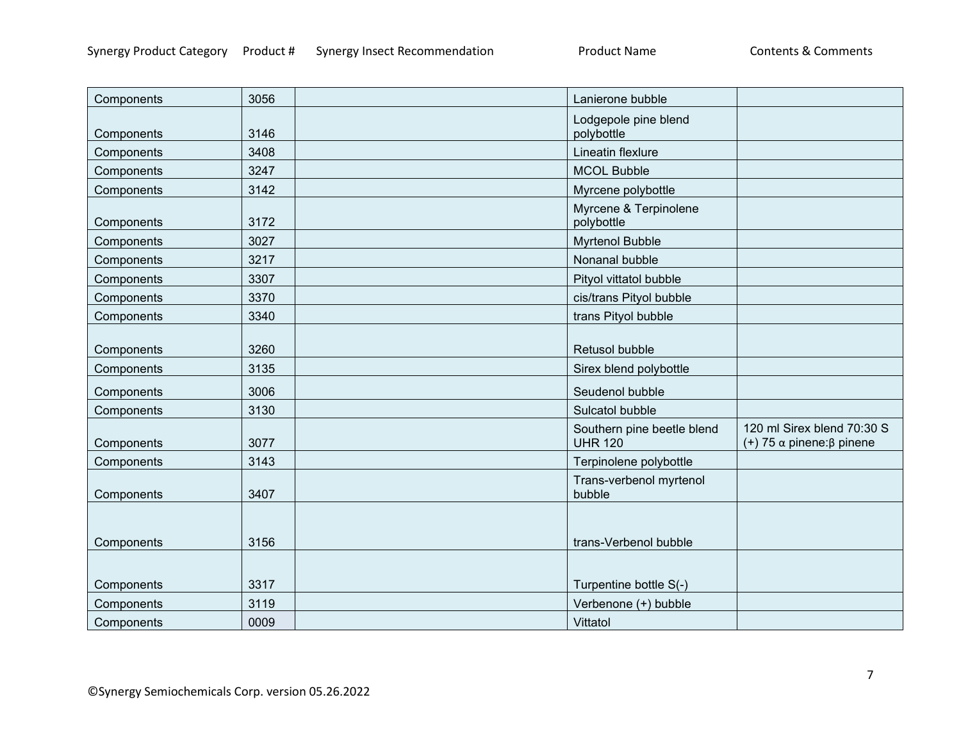| Components | 3056 | Lanierone bubble                             |                                                                |
|------------|------|----------------------------------------------|----------------------------------------------------------------|
| Components | 3146 | Lodgepole pine blend<br>polybottle           |                                                                |
| Components | 3408 | Lineatin flexlure                            |                                                                |
| Components | 3247 | <b>MCOL Bubble</b>                           |                                                                |
| Components | 3142 | Myrcene polybottle                           |                                                                |
| Components | 3172 | Myrcene & Terpinolene<br>polybottle          |                                                                |
| Components | 3027 | <b>Myrtenol Bubble</b>                       |                                                                |
| Components | 3217 | Nonanal bubble                               |                                                                |
| Components | 3307 | Pityol vittatol bubble                       |                                                                |
| Components | 3370 | cis/trans Pityol bubble                      |                                                                |
| Components | 3340 | trans Pityol bubble                          |                                                                |
| Components | 3260 | Retusol bubble                               |                                                                |
| Components | 3135 | Sirex blend polybottle                       |                                                                |
| Components | 3006 | Seudenol bubble                              |                                                                |
| Components | 3130 | Sulcatol bubble                              |                                                                |
| Components | 3077 | Southern pine beetle blend<br><b>UHR 120</b> | 120 ml Sirex blend 70:30 S<br>(+) 75 $\alpha$ pinene: β pinene |
| Components | 3143 | Terpinolene polybottle                       |                                                                |
| Components | 3407 | Trans-verbenol myrtenol<br>bubble            |                                                                |
| Components | 3156 | trans-Verbenol bubble                        |                                                                |
|            |      |                                              |                                                                |
| Components | 3317 | Turpentine bottle S(-)                       |                                                                |
| Components | 3119 | Verbenone (+) bubble                         |                                                                |
| Components | 0009 | Vittatol                                     |                                                                |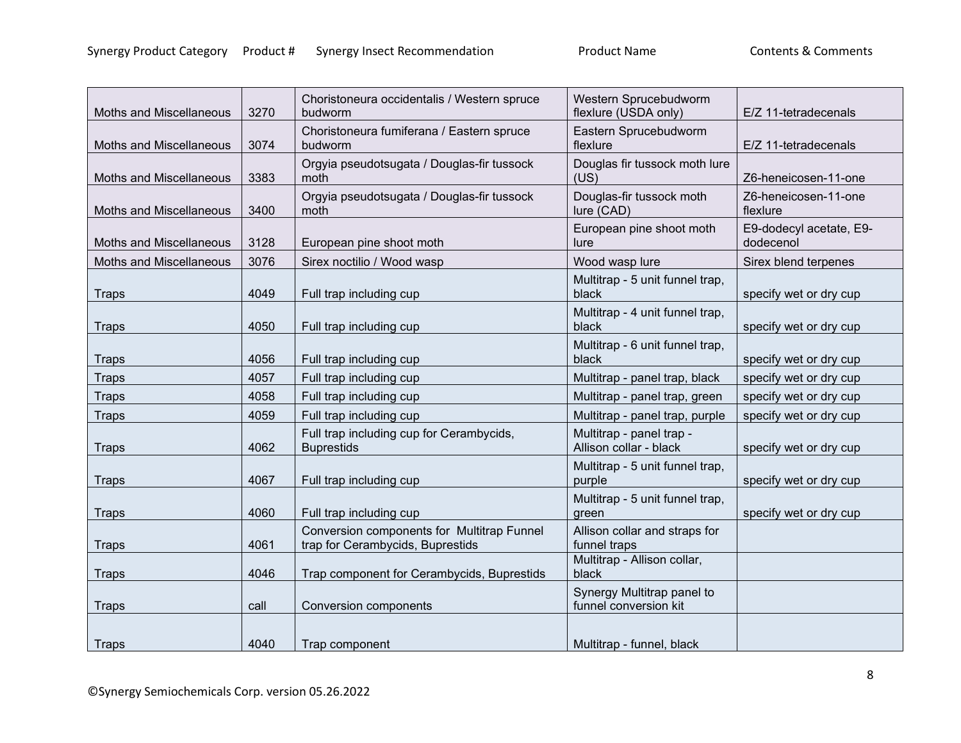| Moths and Miscellaneous        | 3270 | Choristoneura occidentalis / Western spruce<br>budworm                         | Western Sprucebudworm<br>flexlure (USDA only)       | E/Z 11-tetradecenals                 |
|--------------------------------|------|--------------------------------------------------------------------------------|-----------------------------------------------------|--------------------------------------|
| Moths and Miscellaneous        | 3074 | Choristoneura fumiferana / Eastern spruce<br>budworm                           | Eastern Sprucebudworm<br>flexlure                   | E/Z 11-tetradecenals                 |
| Moths and Miscellaneous        | 3383 | Orgyia pseudotsugata / Douglas-fir tussock<br>moth                             | Douglas fir tussock moth lure<br>(US)               | Z6-heneicosen-11-one                 |
| <b>Moths and Miscellaneous</b> | 3400 | Orgyia pseudotsugata / Douglas-fir tussock<br>moth                             | Douglas-fir tussock moth<br>lure (CAD)              | Z6-heneicosen-11-one<br>flexlure     |
| Moths and Miscellaneous        | 3128 | European pine shoot moth                                                       | European pine shoot moth<br>lure                    | E9-dodecyl acetate, E9-<br>dodecenol |
| Moths and Miscellaneous        | 3076 | Sirex noctilio / Wood wasp                                                     | Wood wasp lure                                      | Sirex blend terpenes                 |
| <b>Traps</b>                   | 4049 | Full trap including cup                                                        | Multitrap - 5 unit funnel trap,<br>black            | specify wet or dry cup               |
| <b>Traps</b>                   | 4050 | Full trap including cup                                                        | Multitrap - 4 unit funnel trap,<br>black            | specify wet or dry cup               |
| <b>Traps</b>                   | 4056 | Full trap including cup                                                        | Multitrap - 6 unit funnel trap,<br>black            | specify wet or dry cup               |
| <b>Traps</b>                   | 4057 | Full trap including cup                                                        | Multitrap - panel trap, black                       | specify wet or dry cup               |
| <b>Traps</b>                   | 4058 | Full trap including cup                                                        | Multitrap - panel trap, green                       | specify wet or dry cup               |
| <b>Traps</b>                   | 4059 | Full trap including cup                                                        | Multitrap - panel trap, purple                      | specify wet or dry cup               |
| <b>Traps</b>                   | 4062 | Full trap including cup for Cerambycids,<br><b>Buprestids</b>                  | Multitrap - panel trap -<br>Allison collar - black  | specify wet or dry cup               |
| <b>Traps</b>                   | 4067 | Full trap including cup                                                        | Multitrap - 5 unit funnel trap,<br>purple           | specify wet or dry cup               |
| <b>Traps</b>                   | 4060 | Full trap including cup                                                        | Multitrap - 5 unit funnel trap,<br>green            | specify wet or dry cup               |
| <b>Traps</b>                   | 4061 | Conversion components for Multitrap Funnel<br>trap for Cerambycids, Buprestids | Allison collar and straps for<br>funnel traps       |                                      |
| <b>Traps</b>                   | 4046 | Trap component for Cerambycids, Buprestids                                     | Multitrap - Allison collar,<br>black                |                                      |
| <b>Traps</b>                   | call | <b>Conversion components</b>                                                   | Synergy Multitrap panel to<br>funnel conversion kit |                                      |
| Traps                          | 4040 | Trap component                                                                 | Multitrap - funnel, black                           |                                      |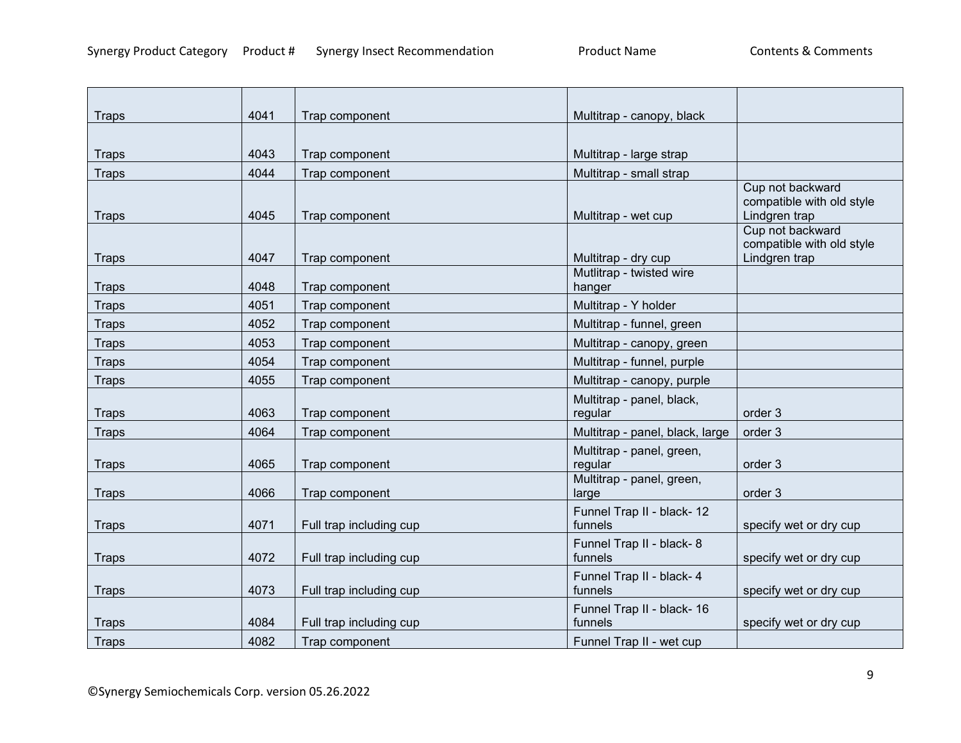| <b>Traps</b> | 4041 | Trap component          | Multitrap - canopy, black          |                                               |
|--------------|------|-------------------------|------------------------------------|-----------------------------------------------|
|              |      |                         |                                    |                                               |
| <b>Traps</b> | 4043 | Trap component          | Multitrap - large strap            |                                               |
| <b>Traps</b> | 4044 | Trap component          | Multitrap - small strap            |                                               |
|              |      |                         |                                    | Cup not backward<br>compatible with old style |
| <b>Traps</b> | 4045 | Trap component          | Multitrap - wet cup                | Lindgren trap                                 |
|              |      |                         |                                    | Cup not backward                              |
|              |      |                         |                                    | compatible with old style                     |
| <b>Traps</b> | 4047 | Trap component          | Multitrap - dry cup                | Lindgren trap                                 |
| <b>Traps</b> | 4048 | Trap component          | Mutlitrap - twisted wire<br>hanger |                                               |
| <b>Traps</b> | 4051 | Trap component          | Multitrap - Y holder               |                                               |
| <b>Traps</b> | 4052 | Trap component          | Multitrap - funnel, green          |                                               |
| <b>Traps</b> | 4053 | Trap component          | Multitrap - canopy, green          |                                               |
| <b>Traps</b> | 4054 | Trap component          | Multitrap - funnel, purple         |                                               |
| <b>Traps</b> | 4055 | Trap component          | Multitrap - canopy, purple         |                                               |
|              |      |                         | Multitrap - panel, black,          |                                               |
| <b>Traps</b> | 4063 | Trap component          | regular                            | order 3                                       |
| <b>Traps</b> | 4064 | Trap component          | Multitrap - panel, black, large    | order 3                                       |
|              |      |                         | Multitrap - panel, green,          |                                               |
| <b>Traps</b> | 4065 | Trap component          | regular                            | order 3                                       |
| <b>Traps</b> | 4066 | Trap component          | Multitrap - panel, green,<br>large | order 3                                       |
|              |      |                         | Funnel Trap II - black- 12         |                                               |
| <b>Traps</b> | 4071 | Full trap including cup | funnels                            | specify wet or dry cup                        |
|              |      |                         | Funnel Trap II - black- 8          |                                               |
| <b>Traps</b> | 4072 | Full trap including cup | funnels                            | specify wet or dry cup                        |
|              |      |                         | Funnel Trap II - black- 4          |                                               |
| <b>Traps</b> | 4073 | Full trap including cup | funnels                            | specify wet or dry cup                        |
|              |      |                         | Funnel Trap II - black- 16         |                                               |
| <b>Traps</b> | 4084 | Full trap including cup | funnels                            | specify wet or dry cup                        |
| Traps        | 4082 | Trap component          | Funnel Trap II - wet cup           |                                               |